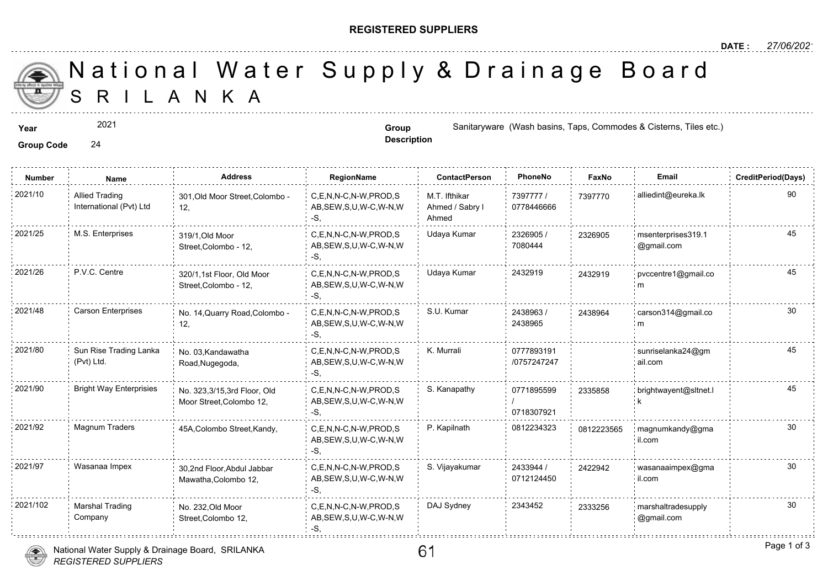## **REGISTERED SUPPLIERS**

**Description**

A N K A National Water Supply & Drainage

**Year Group Group** Sanitaryware (Wash basins, Taps, Commodes & City, Commodes & City, Commodes & City, Commodes & City, Times etc.)

**Group Code** 24

2021

**Number Name Address RegionName ContactPerson PhoneNo FaxNo Email CreditPeriod(Days)** 7397777 / 73977 0778446666 M.T. Ifthikar Ahmed / Sabry l Ahmed C,E,N,N-C,N-W,PROD,S AB,SEW,S,U,W-C,W-N,W -S, 2021/10 Allied Trading 301,Old Moor Street,Colombo - C,E,N,N-C,N-W,PROD,S M.T. Ifthikar 7397777 / 739777 12, Allied Trading International (Pvt) Ltd 2326905 / 7080444 2021/25 M.S. Enterprises and the state of the state of the c,E,N,N-C,N-W,PROD,S Udaya Kumar and the state of the state of the state of the state of the state of the state of the state of the state of the state of the state AB,SEW,S,U,W-C,W-N,W -S, 319/1,Old Moor Street,Colombo - 12, 23269 2021/26 P.V.C. Centre 320/1.1st Floor, Old Moor C,E,N,N-C,N-W,PROD,S Udaya Kumar 2432919 24329 AB,SEW,S,U,W-C,W-N,W -S, 320/1,1st Floor, Old Moor Street,Colombo - 12, 24329<sup></sup> 2438963 / 2438965 C,E,N,N-C,N-W,PROD,S S.U. Kumar AB,SEW,S,U,W-C,W-N,W -S, 2021/48 Carson Enterprises No. 14,Quarry Road,Colombo - C,E,N,N-C,N-W,PROD,S S.U. Kumar 2438963 / 243896 12, 243896 0777893191 /0757247247 C,E,N,N-C,N-W,PROD,S K. Murrali AB,SEW,S,U,W-C,W-N,W -S, No. 03,Kandawatha Road,Nugegoda, 2021/80 Sun Rise Trading Lanka No. 03,Kandawatha C,E,N,N-C,N-W,PROD,S K. Murrali 0777893191 (Pvt) Ltd. 0771895599 / 0718307921 C,E,N,N-C,N-W,PROD,S S. Kanapathy AB,SEW,S,U,W-C,W-N,W -S, 2021/90 Bright Way Enterprisies No. 323,3/15,3rd Floor, Old C,E,N,N-C,N-W,PROD,S S. Kanapathy 19771895599 23358 Moor Street,Colombo 12, 23358 C,E,N,N-C,N-W,PROD,S P. Kapilnath 0812234323 AB,SEW,S,U,W-C,W-N,W -S, 2021/92 Magnum Traders 45A,Colombo Street,Kandy, 081222 2433944 / 0712124450 C,E,N,N-C,N-W,PROD,S S. Vijayakumar 2021/97 Wasanaa Impex wasanaaimpex@gma AB,SEW,S,U,W-C,W-N,W  $-S$ 30,2nd Floor,Abdul Jabbar Mawatha,Colombo 12, 2422942 2021/102 Marshal Trading No. 232.Old Moor C,E,N,N-C,N-W,PROD,S DAJ Sydney 2343452 233325 AB,SEW,S,U,W-C,W-N,W -S, No. 232,Old Moor Street,Colombo 12, Marshal Trading Company 23332

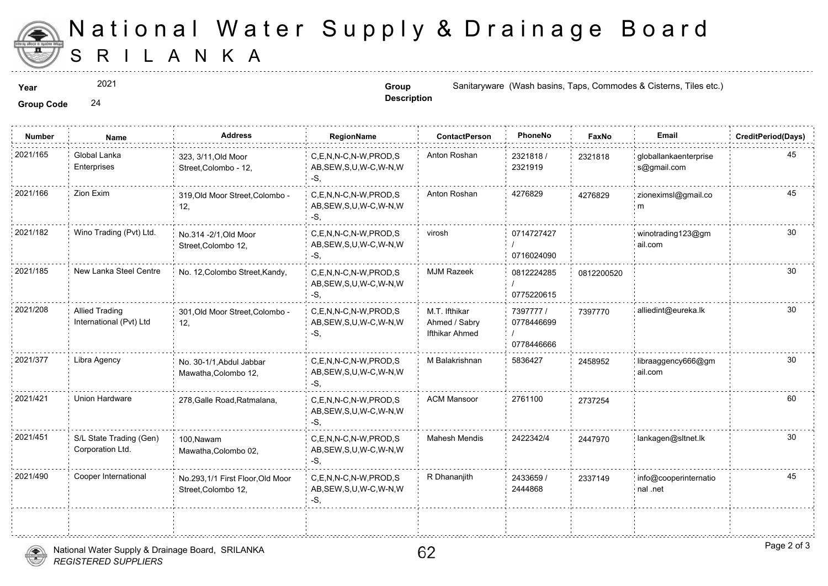

## S R I L A N K A National Water Supply & Drainage

2021

**Description**

**Year Group Group** Sanitaryware (Wash basins, Taps, Commodes & City, Commodes & City, Commodes & City, Taps, Commodes & City, Taps, Commodes & City, Taps, Commodes & City, Taps, Commodes & City, Taps, Commodes & City,

**Group Code** 24

| <b>Number</b> | Name                                             | <b>Address</b>                                          | RegionName                                                | <b>ContactPerson</b>                             | PhoneNo                               | Faxl   |
|---------------|--------------------------------------------------|---------------------------------------------------------|-----------------------------------------------------------|--------------------------------------------------|---------------------------------------|--------|
| 2021/165      | Global Lanka<br>Enterprises                      | 323, 3/11, Old Moor<br>Street, Colombo - 12,            | C,E,N,N-C,N-W,PROD,S<br>AB, SEW, S, U, W-C, W-N, W<br>-S. | Anton Roshan                                     | 2321818/<br>2321919                   | 232181 |
| 2021/166      | Zion Exim                                        | 319, Old Moor Street, Colombo -<br>12,                  | C.E.N.N-C.N-W.PROD.S<br>AB, SEW, S, U, W-C, W-N, W<br>-S. | Anton Roshan                                     | 4276829                               | 427682 |
| 2021/182      | Wino Trading (Pvt) Ltd.                          | No.314 - 2/1, Old Moor<br>Street, Colombo 12,           | C,E,N,N-C,N-W,PROD,S<br>AB, SEW, S, U, W-C, W-N, W<br>-S. | virosh                                           | 0714727427<br>0716024090              |        |
| 2021/185      | New Lanka Steel Centre                           | No. 12, Colombo Street, Kandy,                          | C,E,N,N-C,N-W,PROD,S<br>AB, SEW, S, U, W-C, W-N, W<br>-S, | <b>MJM Razeek</b>                                | 0812224285<br>0775220615              | 081220 |
| 2021/208      | <b>Allied Trading</b><br>International (Pvt) Ltd | 301, Old Moor Street, Colombo -<br>12,                  | C.E.N.N-C.N-W.PROD.S<br>AB, SEW, S, U, W-C, W-N, W<br>-S. | M.T. Ifthikar<br>Ahmed / Sabry<br>Ifthikar Ahmed | 7397777 /<br>0778446699<br>0778446666 | 739777 |
| 2021/377      | Libra Agency                                     | No. 30-1/1, Abdul Jabbar<br>Mawatha, Colombo 12,        | C,E,N,N-C,N-W,PROD,S<br>AB, SEW, S, U, W-C, W-N, W<br>-S, | M Balakrishnan                                   | 5836427                               | 245895 |
| 2021/421      | Union Hardware                                   | 278, Galle Road, Ratmalana,                             | C.E.N.N-C.N-W.PROD.S<br>AB, SEW, S, U, W-C, W-N, W<br>-S, | <b>ACM Mansoor</b>                               | 2761100                               | 273725 |
| 2021/451      | S/L State Trading (Gen)<br>Corporation Ltd.      | 100, Nawam<br>Mawatha, Colombo 02,                      | C.E.N.N-C.N-W.PROD.S<br>AB, SEW, S, U, W-C, W-N, W<br>-S. | <b>Mahesh Mendis</b>                             | 2422342/4                             | 244797 |
| 2021/490      | Cooper International                             | No.293,1/1 First Floor, Old Moor<br>Street, Colombo 12, | C,E,N,N-C,N-W,PROD,S<br>AB, SEW, S, U, W-C, W-N, W<br>-S, | R Dhananjith                                     | 2433659 /<br>2444868                  | 233714 |
|               |                                                  |                                                         |                                                           |                                                  |                                       |        |